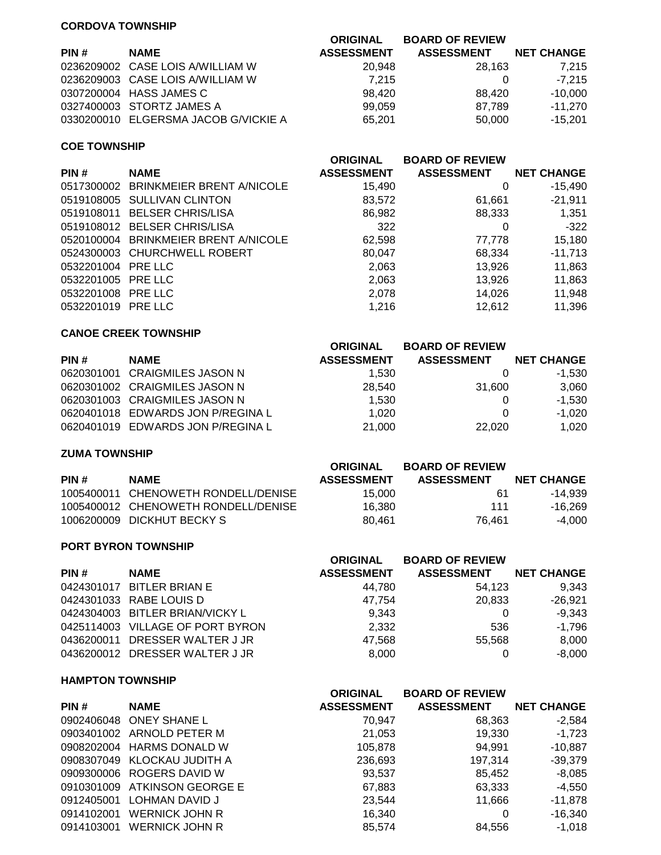# **CORDOVA TOWNSHIP**

| PIN# | <b>NAME</b>                          | <b>ORIGINAL</b><br><b>ASSESSMENT</b> | <b>BOARD OF REVIEW</b><br><b>ASSESSMENT</b> | <b>NET CHANGE</b> |
|------|--------------------------------------|--------------------------------------|---------------------------------------------|-------------------|
|      | 0236209002 CASE LOIS A/WILLIAM W     | 20.948                               | 28.163                                      | 7,215             |
|      | 0236209003 CASE LOIS A/WILLIAM W     | 7.215                                |                                             | $-7.215$          |
|      | 0307200004 HASS JAMES C              | 98.420                               | 88.420                                      | $-10,000$         |
|      | 0327400003 STORTZ JAMES A            | 99.059                               | 87.789                                      | $-11.270$         |
|      | 0330200010 ELGERSMA JACOB G/VICKIE A | 65.201                               | 50.000                                      | $-15.201$         |
|      |                                      |                                      |                                             |                   |

#### **COE TOWNSHIP**

|                    |                                      | <b>ORIGINAL</b>   | <b>BOARD OF REVIEW</b> |                   |
|--------------------|--------------------------------------|-------------------|------------------------|-------------------|
| PIN#               | <b>NAME</b>                          | <b>ASSESSMENT</b> | <b>ASSESSMENT</b>      | <b>NET CHANGE</b> |
|                    | 0517300002 BRINKMEIER BRENT A/NICOLE | 15,490            |                        | $-15.490$         |
|                    | 0519108005 SULLIVAN CLINTON          | 83,572            | 61,661                 | -21,911           |
|                    | 0519108011 BELSER CHRIS/LISA         | 86,982            | 88,333                 | 1,351             |
|                    | 0519108012 BELSER CHRIS/LISA         | 322               | 0                      | $-322$            |
|                    | 0520100004 BRINKMEIER BRENT A/NICOLE | 62,598            | 77,778                 | 15,180            |
|                    | 0524300003 CHURCHWELL ROBERT         | 80.047            | 68,334                 | $-11,713$         |
| 0532201004 PRE LLC |                                      | 2,063             | 13.926                 | 11,863            |
| 0532201005 PRE LLC |                                      | 2,063             | 13,926                 | 11,863            |
| 0532201008 PRE LLC |                                      | 2,078             | 14,026                 | 11,948            |
| 0532201019 PRE LLC |                                      | 1,216             | 12.612                 | 11,396            |

## **CANOE CREEK TOWNSHIP**

|      |                                   | <b>ORIGINAL</b>   | <b>BOARD OF REVIEW</b> |                   |
|------|-----------------------------------|-------------------|------------------------|-------------------|
| PIN# | <b>NAME</b>                       | <b>ASSESSMENT</b> | <b>ASSESSMENT</b>      | <b>NET CHANGE</b> |
|      | 0620301001 CRAIGMILES JASON N     | 1.530             |                        | -1.530            |
|      | 0620301002 CRAIGMILES JASON N     | 28.540            | 31.600                 | 3.060             |
|      | 0620301003 CRAIGMILES JASON N     | 1,530             |                        | $-1.530$          |
|      | 0620401018 EDWARDS JON P/REGINA L | 1.020             |                        | $-1.020$          |
|      | 0620401019 EDWARDS JON P/REGINA L | 21.000            | 22.020                 | 1,020             |

# **ZUMA TOWNSHIP**

|                                     | ORIGINAL          | <b>BOARD OF REVIEW</b> |                   |
|-------------------------------------|-------------------|------------------------|-------------------|
| <b>NAME</b>                         | <b>ASSESSMENT</b> | <b>ASSESSMENT</b>      | <b>NET CHANGE</b> |
| 1005400011 CHENOWETH RONDELL/DENISE | 15.000            | 61                     | -14.939           |
| 1005400012 CHENOWETH RONDELL/DENISE | 16.380            | 111                    | -16.269           |
| 1006200009 DICKHUT BECKY S          | 80.461            | 76.461                 | -4.000            |
|                                     |                   |                        |                   |

### **PORT BYRON TOWNSHIP**

|             | <b>ORIGINAL</b>                                                                                                                                                                                 | <b>BOARD OF REVIEW</b> |                   |
|-------------|-------------------------------------------------------------------------------------------------------------------------------------------------------------------------------------------------|------------------------|-------------------|
| <b>NAME</b> | <b>ASSESSMENT</b>                                                                                                                                                                               | <b>ASSESSMENT</b>      | <b>NET CHANGE</b> |
|             | 44.780                                                                                                                                                                                          | 54.123                 | 9.343             |
|             | 47.754                                                                                                                                                                                          | 20,833                 | $-26.921$         |
|             | 9.343                                                                                                                                                                                           | 0                      | $-9.343$          |
|             | 2,332                                                                                                                                                                                           | 536                    | $-1,796$          |
|             | 47,568                                                                                                                                                                                          | 55,568                 | 8,000             |
|             | 8.000                                                                                                                                                                                           |                        | $-8,000$          |
|             | 0424301017 BITLER BRIAN E<br>0424301033 RABE LOUIS D<br>0424304003 BITLER BRIAN/VICKY L<br>0425114003 VILLAGE OF PORT BYRON<br>0436200011 DRESSER WALTER J JR<br>0436200012 DRESSER WALTER J JR |                        |                   |

## **HAMPTON TOWNSHIP**

| <b>NAME</b>           | <b>ASSESSMENT</b>                                                                                                                                                             | <b>ASSESSMENT</b> | <b>NET CHANGE</b>      |
|-----------------------|-------------------------------------------------------------------------------------------------------------------------------------------------------------------------------|-------------------|------------------------|
|                       | 70,947                                                                                                                                                                        | 68,363            | $-2,584$               |
|                       | 21,053                                                                                                                                                                        | 19,330            | $-1,723$               |
|                       | 105,878                                                                                                                                                                       | 94,991            | $-10,887$              |
|                       | 236,693                                                                                                                                                                       | 197.314           | $-39,379$              |
|                       | 93,537                                                                                                                                                                        | 85.452            | $-8,085$               |
|                       | 67,883                                                                                                                                                                        | 63,333            | $-4.550$               |
| LOHMAN DAVID J        | 23.544                                                                                                                                                                        | 11,666            | $-11,878$              |
| WERNICK JOHN R        | 16,340                                                                                                                                                                        | 0                 | $-16,340$              |
| <b>WERNICK JOHN R</b> | 85.574                                                                                                                                                                        | 84.556            | $-1.018$               |
|                       | 0902406048 ONEY SHANE L<br>0903401002 ARNOLD PETER M<br>0908202004 HARMS DONALD W<br>0908307049 KLOCKAU JUDITH A<br>0909300006 ROGERS DAVID W<br>0910301009 ATKINSON GEORGE E | <b>ORIGINAL</b>   | <b>BOARD OF REVIEW</b> |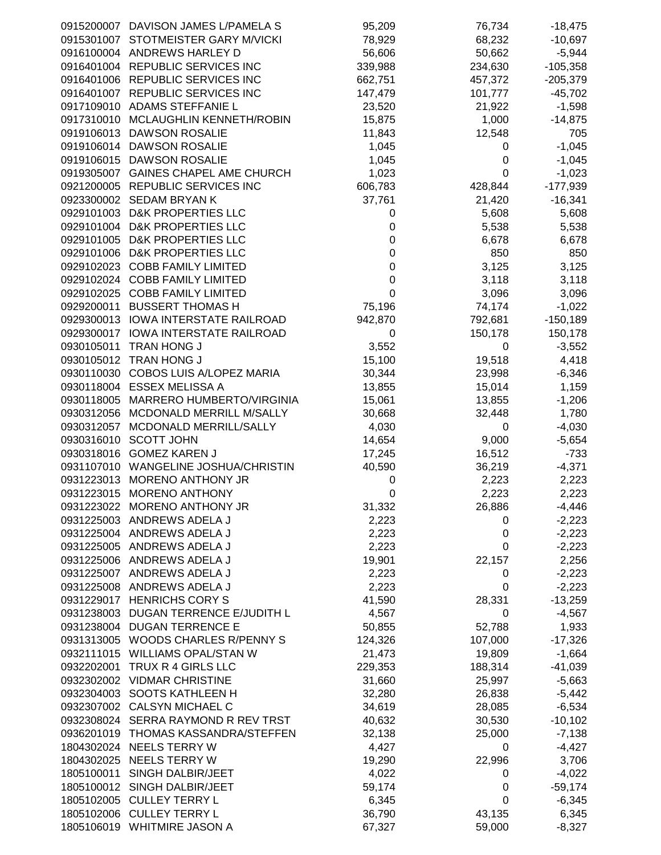|            | 0915200007 DAVISON JAMES L/PAMELA S  | 95,209      | 76,734      | $-18,475$  |
|------------|--------------------------------------|-------------|-------------|------------|
| 0915301007 | STOTMEISTER GARY M/VICKI             | 78,929      | 68,232      | $-10,697$  |
|            |                                      |             | 50,662      |            |
|            | 0916100004 ANDREWS HARLEY D          | 56,606      |             | $-5,944$   |
|            | 0916401004 REPUBLIC SERVICES INC     | 339,988     | 234,630     | $-105,358$ |
|            | 0916401006 REPUBLIC SERVICES INC     | 662,751     | 457,372     | $-205,379$ |
|            |                                      |             |             |            |
|            | 0916401007 REPUBLIC SERVICES INC     | 147,479     | 101,777     | $-45,702$  |
|            | 0917109010 ADAMS STEFFANIE L         | 23,520      | 21,922      | $-1,598$   |
|            | 0917310010 MCLAUGHLIN KENNETH/ROBIN  | 15,875      | 1,000       | $-14,875$  |
|            |                                      |             |             |            |
|            | 0919106013 DAWSON ROSALIE            | 11,843      | 12,548      | 705        |
|            | 0919106014 DAWSON ROSALIE            | 1,045       | 0           | $-1,045$   |
|            | 0919106015 DAWSON ROSALIE            | 1,045       | 0           | $-1,045$   |
|            |                                      |             |             |            |
|            | 0919305007 GAINES CHAPEL AME CHURCH  | 1,023       | 0           | $-1,023$   |
|            | 0921200005 REPUBLIC SERVICES INC     | 606,783     | 428,844     | $-177,939$ |
|            |                                      |             |             |            |
|            | 0923300002 SEDAM BRYAN K             | 37,761      | 21,420      | $-16,341$  |
|            | 0929101003 D&K PROPERTIES LLC        | 0           | 5,608       | 5,608      |
|            | 0929101004 D&K PROPERTIES LLC        | 0           | 5,538       | 5,538      |
|            |                                      |             |             |            |
|            | 0929101005 D&K PROPERTIES LLC        | 0           | 6,678       | 6,678      |
|            | 0929101006 D&K PROPERTIES LLC        | 0           | 850         | 850        |
|            | 0929102023 COBB FAMILY LIMITED       | 0           | 3,125       | 3,125      |
|            |                                      |             |             |            |
|            | 0929102024 COBB FAMILY LIMITED       | $\mathbf 0$ | 3,118       | 3,118      |
|            | 0929102025 COBB FAMILY LIMITED       | $\mathbf 0$ | 3,096       | 3,096      |
|            | 0929200011 BUSSERT THOMAS H          | 75,196      | 74,174      | $-1,022$   |
|            |                                      |             |             |            |
|            | 0929300013 IOWA INTERSTATE RAILROAD  | 942,870     | 792,681     | $-150,189$ |
|            | 0929300017 IOWA INTERSTATE RAILROAD  | 0           | 150,178     | 150,178    |
|            | 0930105011 TRAN HONG J               | 3,552       | 0           | $-3,552$   |
|            |                                      |             |             |            |
|            | 0930105012 TRAN HONG J               | 15,100      | 19,518      | 4,418      |
|            | 0930110030 COBOS LUIS A/LOPEZ MARIA  | 30,344      | 23,998      | $-6,346$   |
|            | 0930118004 ESSEX MELISSA A           | 13,855      | 15,014      | 1,159      |
|            |                                      |             |             |            |
|            | 0930118005 MARRERO HUMBERTO/VIRGINIA | 15,061      | 13,855      | $-1,206$   |
|            | 0930312056 MCDONALD MERRILL M/SALLY  | 30,668      | 32,448      | 1,780      |
|            |                                      |             |             |            |
| 0930312057 | MCDONALD MERRILL/SALLY               | 4,030       | 0           | $-4,030$   |
|            | 0930316010 SCOTT JOHN                | 14,654      | 9,000       | $-5,654$   |
|            | 0930318016 GOMEZ KAREN J             | 17,245      | 16,512      | $-733$     |
|            |                                      |             |             |            |
|            | 0931107010 WANGELINE JOSHUA/CHRISTIN | 40,590      | 36,219      | $-4,371$   |
|            | 0931223013 MORENO ANTHONY JR         | 0           | 2,223       | 2,223      |
|            | 0931223015 MORENO ANTHONY            | 0           | 2,223       | 2,223      |
|            |                                      |             |             |            |
|            | 0931223022 MORENO ANTHONY JR         | 31,332      | 26,886      | $-4,446$   |
|            | 0931225003 ANDREWS ADELA J           | 2,223       | 0           | $-2,223$   |
|            | 0931225004 ANDREWS ADELA J           | 2,223       | 0           | $-2,223$   |
|            |                                      |             |             |            |
|            | 0931225005 ANDREWS ADELA J           | 2,223       | 0           | $-2,223$   |
|            | 0931225006 ANDREWS ADELA J           | 19,901      | 22,157      | 2,256      |
|            | 0931225007 ANDREWS ADELA J           | 2,223       | 0           | $-2,223$   |
|            |                                      |             |             |            |
|            | 0931225008 ANDREWS ADELA J           | 2,223       | 0           | $-2,223$   |
|            | 0931229017 HENRICHS CORY S           | 41,590      | 28,331      | $-13,259$  |
|            | 0931238003 DUGAN TERRENCE E/JUDITH L | 4,567       | 0           | $-4,567$   |
|            |                                      |             |             |            |
|            | 0931238004 DUGAN TERRENCE E          | 50,855      | 52,788      | 1,933      |
|            | 0931313005 WOODS CHARLES R/PENNY S   | 124,326     | 107,000     | $-17,326$  |
|            | 0932111015 WILLIAMS OPAL/STAN W      | 21,473      | 19,809      | $-1,664$   |
|            |                                      |             |             |            |
| 0932202001 | TRUX R 4 GIRLS LLC                   | 229,353     | 188,314     | $-41,039$  |
|            | 0932302002 VIDMAR CHRISTINE          | 31,660      | 25,997      | $-5,663$   |
|            | 0932304003 SOOTS KATHLEEN H          | 32,280      | 26,838      | $-5,442$   |
|            |                                      |             |             |            |
|            | 0932307002 CALSYN MICHAEL C          | 34,619      | 28,085      | $-6,534$   |
|            | 0932308024 SERRA RAYMOND R REV TRST  | 40,632      | 30,530      | $-10,102$  |
|            | 0936201019 THOMAS KASSANDRA/STEFFEN  | 32,138      | 25,000      | $-7,138$   |
|            |                                      |             |             |            |
|            | 1804302024 NEELS TERRY W             | 4,427       | 0           | $-4,427$   |
|            | 1804302025 NEELS TERRY W             | 19,290      | 22,996      | 3,706      |
|            | 1805100011 SINGH DALBIR/JEET         | 4,022       | 0           | $-4,022$   |
|            |                                      |             |             |            |
|            | 1805100012 SINGH DALBIR/JEET         | 59,174      | 0           | $-59,174$  |
|            | 1805102005 CULLEY TERRY L            | 6,345       | $\mathbf 0$ | $-6,345$   |
|            | 1805102006 CULLEY TERRY L            | 36,790      | 43,135      | 6,345      |
|            |                                      |             |             |            |
|            | 1805106019 WHITMIRE JASON A          | 67,327      | 59,000      | $-8,327$   |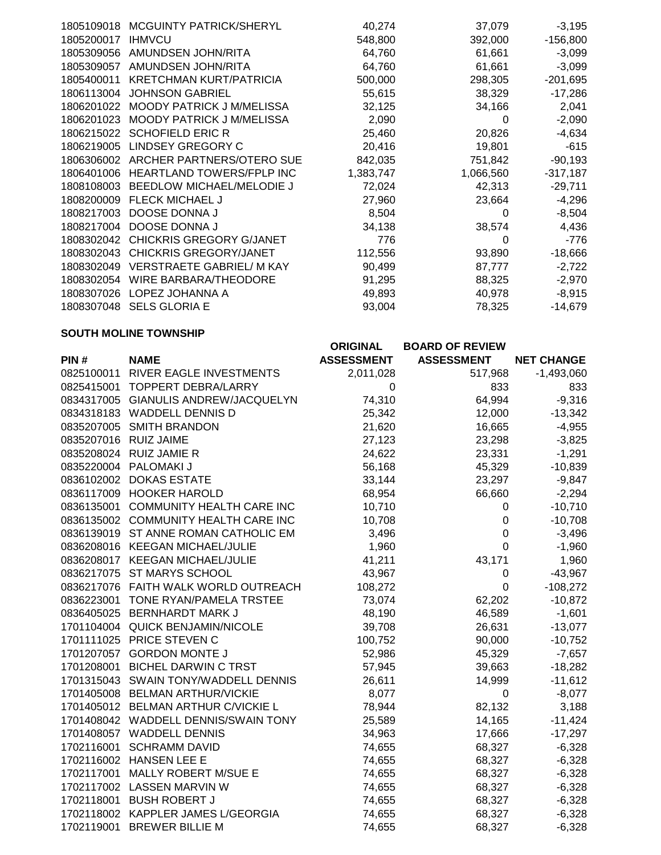| 1805109018 | <b>MCGUINTY PATRICK/SHERYL</b>   | 40,274    | 37,079    | $-3,195$   |
|------------|----------------------------------|-----------|-----------|------------|
| 1805200017 | <b>IHMVCU</b>                    | 548,800   | 392,000   | $-156,800$ |
| 1805309056 | AMUNDSEN JOHN/RITA               | 64,760    | 61,661    | $-3,099$   |
| 1805309057 | AMUNDSEN JOHN/RITA               | 64,760    | 61,661    | $-3,099$   |
| 1805400011 | <b>KRETCHMAN KURT/PATRICIA</b>   | 500,000   | 298,305   | $-201,695$ |
| 1806113004 | <b>JOHNSON GABRIEL</b>           | 55,615    | 38,329    | $-17,286$  |
| 1806201022 | <b>MOODY PATRICK J M/MELISSA</b> | 32,125    | 34,166    | 2,041      |
| 1806201023 | <b>MOODY PATRICK J M/MELISSA</b> | 2,090     | 0         | $-2,090$   |
| 1806215022 | <b>SCHOFIELD ERIC R</b>          | 25,460    | 20,826    | $-4,634$   |
| 1806219005 | LINDSEY GREGORY C                | 20,416    | 19,801    | $-615$     |
| 1806306002 | ARCHER PARTNERS/OTERO SUE        | 842,035   | 751,842   | $-90,193$  |
| 1806401006 | <b>HEARTLAND TOWERS/FPLP INC</b> | 1,383,747 | 1,066,560 | $-317,187$ |
| 1808108003 | BEEDLOW MICHAEL/MELODIE J        | 72,024    | 42,313    | $-29,711$  |
| 1808200009 | <b>FLECK MICHAEL J</b>           | 27,960    | 23,664    | $-4,296$   |
| 1808217003 | DOOSE DONNA J                    | 8,504     | 0         | $-8,504$   |
| 1808217004 | DOOSE DONNA J                    | 34,138    | 38,574    | 4,436      |
| 1808302042 | <b>CHICKRIS GREGORY G/JANET</b>  | 776       | 0         | $-776$     |
| 1808302043 | <b>CHICKRIS GREGORY/JANET</b>    | 112,556   | 93,890    | $-18,666$  |
| 1808302049 | <b>VERSTRAETE GABRIEL/ M KAY</b> | 90,499    | 87,777    | $-2,722$   |
| 1808302054 | WIRE BARBARA/THEODORE            | 91,295    | 88,325    | $-2,970$   |
| 1808307026 | LOPEZ JOHANNA A                  | 49,893    | 40,978    | $-8,915$   |
| 1808307048 | <b>SELS GLORIA E</b>             | 93,004    | 78,325    | $-14,679$  |

### **SOUTH MOLINE TOWNSHIP**

|                       |                                      | <b>ORIGINAL</b>   | <b>BOARD OF REVIEW</b> |                   |
|-----------------------|--------------------------------------|-------------------|------------------------|-------------------|
| PIN#                  | <b>NAME</b>                          | <b>ASSESSMENT</b> | <b>ASSESSMENT</b>      | <b>NET CHANGE</b> |
|                       | 0825100011 RIVER EAGLE INVESTMENTS   | 2,011,028         | 517,968                | $-1,493,060$      |
| 0825415001            | <b>TOPPERT DEBRA/LARRY</b>           | 0                 | 833                    | 833               |
|                       | 0834317005 GIANULIS ANDREW/JACQUELYN | 74,310            | 64,994                 | $-9,316$          |
|                       | 0834318183 WADDELL DENNIS D          | 25,342            | 12,000                 | $-13,342$         |
|                       | 0835207005 SMITH BRANDON             | 21,620            | 16,665                 | $-4,955$          |
| 0835207016 RUIZ JAIME |                                      | 27,123            | 23,298                 | $-3,825$          |
|                       | 0835208024 RUIZ JAMIE R              | 24,622            | 23,331                 | $-1,291$          |
|                       | 0835220004 PALOMAKI J                | 56,168            | 45,329                 | $-10,839$         |
|                       | 0836102002 DOKAS ESTATE              | 33,144            | 23,297                 | $-9,847$          |
|                       | 0836117009 HOOKER HAROLD             | 68,954            | 66,660                 | $-2,294$          |
| 0836135001            | <b>COMMUNITY HEALTH CARE INC</b>     | 10,710            | 0                      | $-10,710$         |
|                       | 0836135002 COMMUNITY HEALTH CARE INC | 10,708            | $\pmb{0}$              | $-10,708$         |
|                       | 0836139019 ST ANNE ROMAN CATHOLIC EM | 3,496             | $\boldsymbol{0}$       | $-3,496$          |
|                       | 0836208016 KEEGAN MICHAEL/JULIE      | 1,960             | $\overline{0}$         | $-1,960$          |
|                       | 0836208017 KEEGAN MICHAEL/JULIE      | 41,211            | 43,171                 | 1,960             |
|                       | 0836217075 ST MARYS SCHOOL           | 43,967            | 0                      | $-43,967$         |
|                       | 0836217076 FAITH WALK WORLD OUTREACH | 108,272           | $\pmb{0}$              | $-108,272$        |
| 0836223001            | TONE RYAN/PAMELA TRSTEE              | 73,074            | 62,202                 | $-10,872$         |
|                       | 0836405025 BERNHARDT MARK J          | 48,190            | 46,589                 | $-1,601$          |
|                       | 1701104004 QUICK BENJAMIN/NICOLE     | 39,708            | 26,631                 | $-13,077$         |
|                       | 1701111025 PRICE STEVEN C            | 100,752           | 90,000                 | $-10,752$         |
|                       | 1701207057 GORDON MONTE J            | 52,986            | 45,329                 | $-7,657$          |
| 1701208001            | <b>BICHEL DARWIN C TRST</b>          | 57,945            | 39,663                 | $-18,282$         |
|                       | 1701315043 SWAIN TONY/WADDELL DENNIS | 26,611            | 14,999                 | $-11,612$         |
|                       | 1701405008 BELMAN ARTHUR/VICKIE      | 8,077             | 0                      | $-8,077$          |
|                       | 1701405012 BELMAN ARTHUR C/VICKIE L  | 78,944            | 82,132                 | 3,188             |
|                       | 1701408042 WADDELL DENNIS/SWAIN TONY | 25,589            | 14,165                 | $-11,424$         |
|                       | 1701408057 WADDELL DENNIS            | 34,963            | 17,666                 | $-17,297$         |
| 1702116001            | <b>SCHRAMM DAVID</b>                 | 74,655            | 68,327                 | $-6,328$          |
|                       | 1702116002 HANSEN LEE E              | 74,655            | 68,327                 | $-6,328$          |
|                       | 1702117001 MALLY ROBERT M/SUE E      | 74,655            | 68,327                 | $-6,328$          |
|                       | 1702117002 LASSEN MARVIN W           | 74,655            | 68,327                 | $-6,328$          |
|                       | 1702118001 BUSH ROBERT J             | 74,655            | 68,327                 | $-6,328$          |
|                       | 1702118002 KAPPLER JAMES L/GEORGIA   | 74,655            | 68,327                 | $-6,328$          |
| 1702119001            | <b>BREWER BILLIE M</b>               | 74,655            | 68,327                 | $-6,328$          |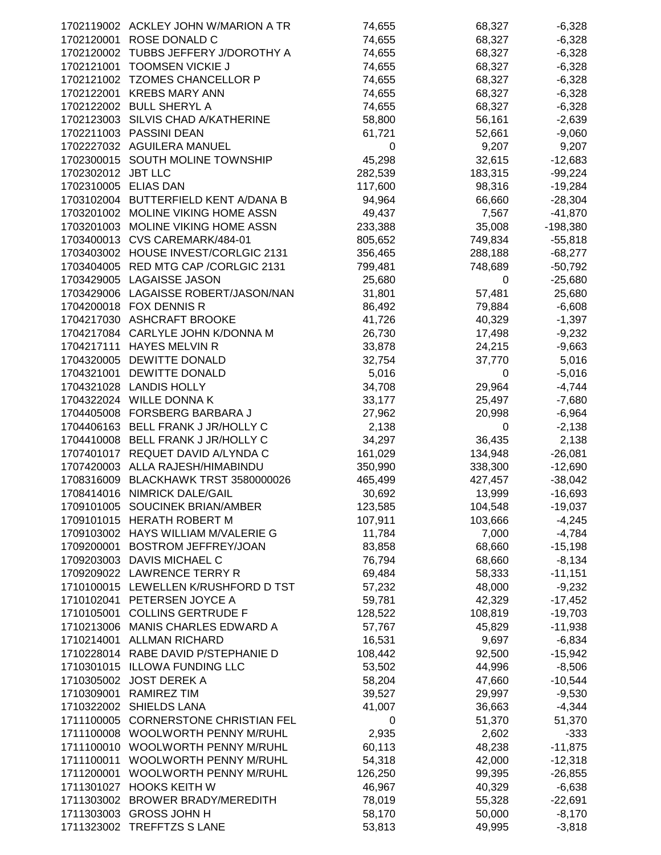|                      | 1702119002 ACKLEY JOHN W/MARION A TR  | 74,655  | 68,327      | $-6,328$   |
|----------------------|---------------------------------------|---------|-------------|------------|
| 1702120001           | ROSE DONALD C                         | 74,655  | 68,327      | $-6,328$   |
|                      | 1702120002 TUBBS JEFFERY J/DOROTHY A  | 74,655  | 68,327      | $-6,328$   |
| 1702121001           | <b>TOOMSEN VICKIE J</b>               | 74,655  | 68,327      | $-6,328$   |
|                      | 1702121002 TZOMES CHANCELLOR P        | 74,655  | 68,327      | $-6,328$   |
|                      |                                       |         |             |            |
|                      | 1702122001 KREBS MARY ANN             | 74,655  | 68,327      | $-6,328$   |
|                      | 1702122002 BULL SHERYL A              | 74,655  | 68,327      | $-6,328$   |
|                      | 1702123003 SILVIS CHAD A/KATHERINE    | 58,800  | 56,161      | $-2,639$   |
|                      | 1702211003 PASSINI DEAN               | 61,721  | 52,661      | $-9,060$   |
|                      | 1702227032 AGUILERA MANUEL            | 0       | 9,207       | 9,207      |
|                      | 1702300015 SOUTH MOLINE TOWNSHIP      | 45,298  | 32,615      | $-12,683$  |
|                      |                                       |         |             |            |
| 1702302012 JBT LLC   |                                       | 282,539 | 183,315     | $-99,224$  |
| 1702310005 ELIAS DAN |                                       | 117,600 | 98,316      | $-19,284$  |
|                      | 1703102004 BUTTERFIELD KENT A/DANA B  | 94,964  | 66,660      | $-28,304$  |
|                      | 1703201002 MOLINE VIKING HOME ASSN    | 49,437  | 7,567       | $-41,870$  |
|                      | 1703201003 MOLINE VIKING HOME ASSN    | 233,388 | 35,008      | $-198,380$ |
|                      | 1703400013 CVS CAREMARK/484-01        | 805,652 | 749,834     | $-55,818$  |
|                      | 1703403002 HOUSE INVEST/CORLGIC 2131  | 356,465 | 288,188     | $-68,277$  |
|                      |                                       |         |             |            |
|                      | 1703404005 RED MTG CAP / CORLGIC 2131 | 799,481 | 748,689     | $-50,792$  |
|                      | 1703429005 LAGAISSE JASON             | 25,680  | $\pmb{0}$   | $-25,680$  |
|                      | 1703429006 LAGAISSE ROBERT/JASON/NAN  | 31,801  | 57,481      | 25,680     |
|                      | 1704200018 FOX DENNIS R               | 86,492  | 79,884      | $-6,608$   |
|                      | 1704217030 ASHCRAFT BROOKE            | 41,726  | 40,329      | $-1,397$   |
|                      | 1704217084 CARLYLE JOHN K/DONNA M     | 26,730  |             |            |
|                      |                                       |         | 17,498      | $-9,232$   |
|                      | 1704217111 HAYES MELVIN R             | 33,878  | 24,215      | $-9,663$   |
|                      | 1704320005 DEWITTE DONALD             | 32,754  | 37,770      | 5,016      |
|                      | 1704321001 DEWITTE DONALD             | 5,016   | $\pmb{0}$   | $-5,016$   |
|                      | 1704321028 LANDIS HOLLY               | 34,708  | 29,964      | $-4,744$   |
|                      | 1704322024 WILLE DONNA K              | 33,177  | 25,497      | $-7,680$   |
|                      | 1704405008 FORSBERG BARBARA J         | 27,962  | 20,998      | $-6,964$   |
|                      |                                       |         |             |            |
|                      | 1704406163 BELL FRANK J JR/HOLLY C    | 2,138   | $\mathbf 0$ | $-2,138$   |
|                      | 1704410008 BELL FRANK J JR/HOLLY C    | 34,297  | 36,435      | 2,138      |
|                      | 1707401017 REQUET DAVID A/LYNDA C     | 161,029 | 134,948     | $-26,081$  |
|                      | 1707420003 ALLA RAJESH/HIMABINDU      | 350,990 | 338,300     | $-12,690$  |
|                      | 1708316009 BLACKHAWK TRST 3580000026  | 465,499 | 427,457     | $-38,042$  |
|                      | 1708414016 NIMRICK DALE/GAIL          | 30,692  | 13,999      | $-16,693$  |
|                      | SOUCINEK BRIAN/AMBER                  | 123,585 | 104,548     | $-19,037$  |
| 1709101005           |                                       |         |             |            |
|                      | 1709101015 HERATH ROBERT M            | 107,911 | 103,666     | $-4,245$   |
| 1709103002           | HAYS WILLIAM M/VALERIE G              | 11,784  | 7,000       | $-4,784$   |
| 1709200001           | BOSTROM JEFFREY/JOAN                  | 83,858  | 68,660      | $-15,198$  |
| 1709203003           | DAVIS MICHAEL C                       | 76,794  | 68,660      | $-8,134$   |
|                      | 1709209022 LAWRENCE TERRY R           | 69,484  | 58,333      | $-11,151$  |
|                      | 1710100015 LEWELLEN K/RUSHFORD D TST  | 57,232  | 48,000      | $-9,232$   |
|                      |                                       |         |             |            |
|                      | 1710102041 PETERSEN JOYCE A           | 59,781  | 42,329      | $-17,452$  |
| 1710105001           | <b>COLLINS GERTRUDE F</b>             | 128,522 | 108,819     | $-19,703$  |
| 1710213006           | MANIS CHARLES EDWARD A                | 57,767  | 45,829      | $-11,938$  |
| 1710214001           | <b>ALLMAN RICHARD</b>                 | 16,531  | 9,697       | $-6,834$   |
| 1710228014           | RABE DAVID P/STEPHANIE D              | 108,442 | 92,500      | $-15,942$  |
| 1710301015           | <b>ILLOWA FUNDING LLC</b>             | 53,502  | 44,996      | $-8,506$   |
|                      |                                       |         |             |            |
| 1710305002           | <b>JOST DEREK A</b>                   | 58,204  | 47,660      | $-10,544$  |
| 1710309001           | <b>RAMIREZ TIM</b>                    | 39,527  | 29,997      | $-9,530$   |
| 1710322002           | SHIELDS LANA                          | 41,007  | 36,663      | $-4,344$   |
| 1711100005           | <b>CORNERSTONE CHRISTIAN FEL</b>      | 0       | 51,370      | 51,370     |
| 1711100008           | WOOLWORTH PENNY M/RUHL                | 2,935   | 2,602       | $-333$     |
| 1711100010           | WOOLWORTH PENNY M/RUHL                | 60,113  | 48,238      | $-11,875$  |
| 1711100011           | WOOLWORTH PENNY M/RUHL                | 54,318  | 42,000      | $-12,318$  |
|                      |                                       |         |             |            |
| 1711200001           | WOOLWORTH PENNY M/RUHL                | 126,250 | 99,395      | $-26,855$  |
|                      | 1711301027 HOOKS KEITH W              | 46,967  | 40,329      | $-6,638$   |
|                      | 1711303002 BROWER BRADY/MEREDITH      | 78,019  | 55,328      | $-22,691$  |
|                      | 1711303003 GROSS JOHN H               | 58,170  | 50,000      | $-8,170$   |
|                      | 1711323002 TREFFTZS S LANE            | 53,813  | 49,995      | $-3,818$   |
|                      |                                       |         |             |            |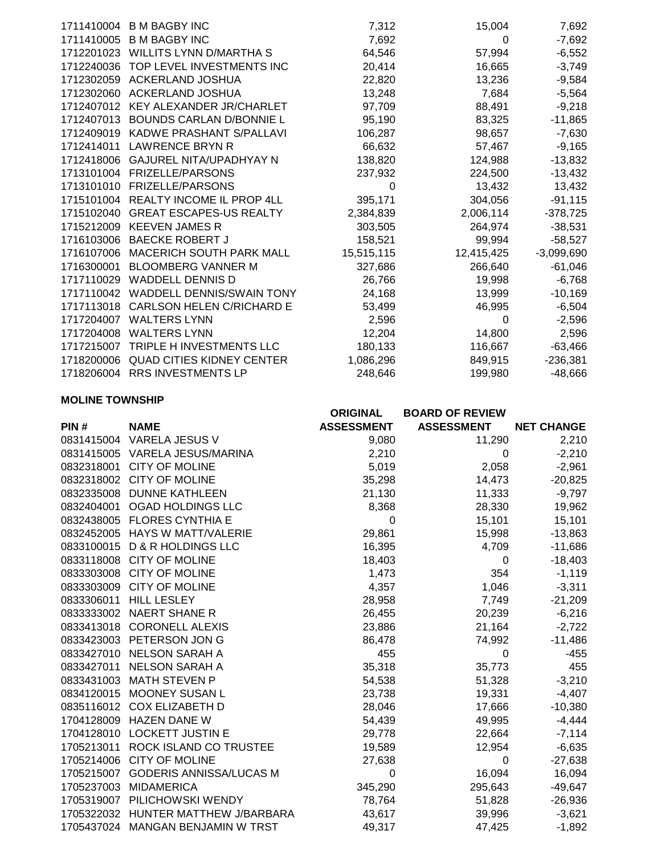| 1711410004 | <b>B M BAGBY INC</b>             | 7,312      | 15,004     | 7,692        |
|------------|----------------------------------|------------|------------|--------------|
| 1711410005 | <b>B M BAGBY INC</b>             | 7,692      | 0          | $-7,692$     |
| 1712201023 | WILLITS LYNN D/MARTHA S          | 64,546     | 57,994     | $-6,552$     |
| 1712240036 | TOP LEVEL INVESTMENTS INC        | 20,414     | 16,665     | $-3,749$     |
| 1712302059 | <b>ACKERLAND JOSHUA</b>          | 22,820     | 13,236     | $-9,584$     |
| 1712302060 | <b>ACKERLAND JOSHUA</b>          | 13,248     | 7,684      | $-5,564$     |
| 1712407012 | KEY ALEXANDER JR/CHARLET         | 97,709     | 88,491     | $-9,218$     |
| 1712407013 | <b>BOUNDS CARLAN D/BONNIE L</b>  | 95,190     | 83,325     | $-11,865$    |
| 1712409019 | KADWE PRASHANT S/PALLAVI         | 106,287    | 98,657     | $-7,630$     |
| 1712414011 | <b>LAWRENCE BRYN R</b>           | 66,632     | 57,467     | $-9,165$     |
| 1712418006 | <b>GAJUREL NITA/UPADHYAY N</b>   | 138,820    | 124,988    | $-13,832$    |
| 1713101004 | <b>FRIZELLE/PARSONS</b>          | 237,932    | 224,500    | $-13,432$    |
| 1713101010 | <b>FRIZELLE/PARSONS</b>          | 0          | 13,432     | 13,432       |
| 1715101004 | <b>REALTY INCOME IL PROP 4LL</b> | 395,171    | 304,056    | $-91,115$    |
| 1715102040 | <b>GREAT ESCAPES-US REALTY</b>   | 2,384,839  | 2,006,114  | $-378,725$   |
| 1715212009 | <b>KEEVEN JAMES R</b>            | 303,505    | 264,974    | $-38,531$    |
| 1716103006 | <b>BAECKE ROBERT J</b>           | 158,521    | 99,994     | $-58,527$    |
| 1716107006 | <b>MACERICH SOUTH PARK MALL</b>  | 15,515,115 | 12,415,425 | $-3,099,690$ |
| 1716300001 | <b>BLOOMBERG VANNER M</b>        | 327,686    | 266,640    | $-61,046$    |
| 1717110029 | <b>WADDELL DENNIS D</b>          | 26,766     | 19,998     | $-6,768$     |
| 1717110042 | WADDELL DENNIS/SWAIN TONY        | 24,168     | 13,999     | $-10,169$    |
| 1717113018 | <b>CARLSON HELEN C/RICHARD E</b> | 53,499     | 46,995     | $-6,504$     |
| 1717204007 | <b>WALTERS LYNN</b>              | 2,596      | 0          | $-2,596$     |
| 1717204008 | <b>WALTERS LYNN</b>              | 12,204     | 14,800     | 2,596        |
| 1717215007 | TRIPLE H INVESTMENTS LLC         | 180,133    | 116,667    | $-63,466$    |
| 1718200006 | <b>QUAD CITIES KIDNEY CENTER</b> | 1,086,296  | 849,915    | $-236,381$   |
| 1718206004 | <b>RRS INVESTMENTS LP</b>        | 248,646    | 199,980    | $-48,666$    |

## **MOLINE TOWNSHIP**

|            |                                   | <b>ORIGINAL</b>   | <b>BOARD OF REVIEW</b> |                   |
|------------|-----------------------------------|-------------------|------------------------|-------------------|
| PIN#       | <b>NAME</b>                       | <b>ASSESSMENT</b> | <b>ASSESSMENT</b>      | <b>NET CHANGE</b> |
|            | 0831415004 VARELA JESUS V         | 9,080             | 11,290                 | 2,210             |
|            | 0831415005 VARELA JESUS/MARINA    | 2,210             | 0                      | $-2,210$          |
| 0832318001 | <b>CITY OF MOLINE</b>             | 5,019             | 2,058                  | $-2,961$          |
| 0832318002 | <b>CITY OF MOLINE</b>             | 35,298            | 14,473                 | $-20,825$         |
|            | 0832335008 DUNNE KATHLEEN         | 21,130            | 11,333                 | $-9,797$          |
| 0832404001 | OGAD HOLDINGS LLC                 | 8,368             | 28,330                 | 19,962            |
| 0832438005 | <b>FLORES CYNTHIA E</b>           | 0                 | 15,101                 | 15,101            |
|            | 0832452005 HAYS W MATT/VALERIE    | 29,861            | 15,998                 | $-13,863$         |
|            | 0833100015 D & R HOLDINGS LLC     | 16,395            | 4,709                  | $-11,686$         |
| 0833118008 | <b>CITY OF MOLINE</b>             | 18,403            | 0                      | $-18,403$         |
|            | 0833303008 CITY OF MOLINE         | 1,473             | 354                    | $-1,119$          |
| 0833303009 | <b>CITY OF MOLINE</b>             | 4,357             | 1,046                  | $-3,311$          |
| 0833306011 | <b>HILL LESLEY</b>                | 28,958            | 7,749                  | $-21,209$         |
|            | 0833333002 NAERT SHANE R          | 26,455            | 20,239                 | $-6,216$          |
|            | 0833413018 CORONELL ALEXIS        | 23,886            | 21,164                 | $-2,722$          |
|            | 0833423003 PETERSON JON G         | 86,478            | 74,992                 | $-11,486$         |
|            | 0833427010 NELSON SARAH A         | 455               | 0                      | $-455$            |
| 0833427011 | <b>NELSON SARAH A</b>             | 35,318            | 35,773                 | 455               |
| 0833431003 | <b>MATH STEVEN P</b>              | 54,538            | 51,328                 | $-3,210$          |
| 0834120015 | <b>MOONEY SUSAN L</b>             | 23,738            | 19,331                 | $-4,407$          |
|            | 0835116012 COX ELIZABETH D        | 28,046            | 17,666                 | $-10,380$         |
| 1704128009 | <b>HAZEN DANE W</b>               | 54,439            | 49,995                 | $-4,444$          |
| 1704128010 | <b>LOCKETT JUSTIN E</b>           | 29,778            | 22,664                 | $-7,114$          |
|            | 1705213011 ROCK ISLAND CO TRUSTEE | 19,589            | 12,954                 | $-6,635$          |
| 1705214006 | <b>CITY OF MOLINE</b>             | 27,638            | 0                      | $-27,638$         |
| 1705215007 | <b>GODERIS ANNISSA/LUCAS M</b>    | 0                 | 16,094                 | 16,094            |
| 1705237003 | <b>MIDAMERICA</b>                 | 345,290           | 295,643                | $-49,647$         |
| 1705319007 | PILICHOWSKI WENDY                 | 78,764            | 51,828                 | $-26,936$         |
| 1705322032 | HUNTER MATTHEW J/BARBARA          | 43,617            | 39,996                 | $-3,621$          |
|            | 1705437024 MANGAN BENJAMIN W TRST | 49,317            | 47,425                 | $-1,892$          |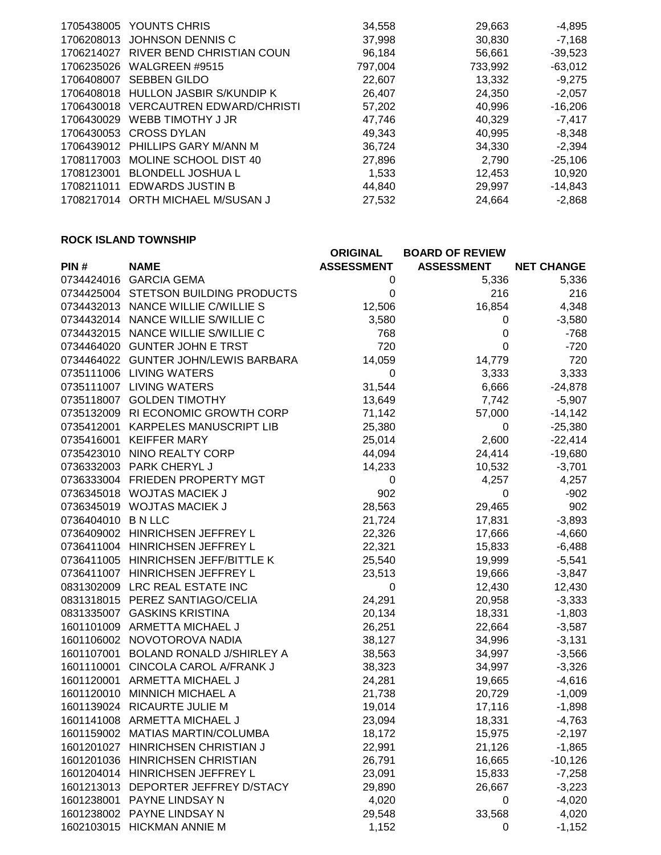| 1705438005 | YOUNTS CHRIS                     | 34,558  | 29,663  | $-4,895$  |
|------------|----------------------------------|---------|---------|-----------|
| 1706208013 | <b>JOHNSON DENNIS C</b>          | 37,998  | 30,830  | $-7,168$  |
| 1706214027 | RIVER BEND CHRISTIAN COUN        | 96,184  | 56,661  | $-39,523$ |
| 1706235026 | WALGREEN #9515                   | 797.004 | 733,992 | $-63,012$ |
| 1706408007 | <b>SEBBEN GILDO</b>              | 22,607  | 13,332  | $-9,275$  |
| 1706408018 | HULLON JASBIR S/KUNDIP K         | 26.407  | 24,350  | $-2,057$  |
| 1706430018 | <b>VERCAUTREN EDWARD/CHRISTI</b> | 57,202  | 40.996  | $-16.206$ |
| 1706430029 | WEBB TIMOTHY J JR                | 47,746  | 40,329  | $-7,417$  |
| 1706430053 | <b>CROSS DYLAN</b>               | 49,343  | 40,995  | $-8,348$  |
| 1706439012 | PHILLIPS GARY M/ANN M            | 36,724  | 34,330  | $-2,394$  |
| 1708117003 | MOLINE SCHOOL DIST 40            | 27,896  | 2,790   | $-25,106$ |
| 1708123001 | <b>BLONDELL JOSHUA L</b>         | 1.533   | 12,453  | 10,920    |
| 1708211011 | <b>EDWARDS JUSTIN B</b>          | 44.840  | 29.997  | $-14.843$ |
| 1708217014 | ORTH MICHAEL M/SUSAN J           | 27.532  | 24.664  | $-2,868$  |
|            |                                  |         |         |           |

# **ROCK ISLAND TOWNSHIP**

|                    |                                      | <b>ORIGINAL</b>   | <b>BOARD OF REVIEW</b> |                   |
|--------------------|--------------------------------------|-------------------|------------------------|-------------------|
| PIN#               | <b>NAME</b>                          | <b>ASSESSMENT</b> | <b>ASSESSMENT</b>      | <b>NET CHANGE</b> |
|                    | 0734424016 GARCIA GEMA               | 0                 | 5,336                  | 5,336             |
|                    | 0734425004 STETSON BUILDING PRODUCTS | $\boldsymbol{0}$  | 216                    | 216               |
|                    | 0734432013 NANCE WILLIE C/WILLIE S   | 12,506            | 16,854                 | 4,348             |
|                    | 0734432014 NANCE WILLIE S/WILLIE C   | 3,580             | 0                      | $-3,580$          |
|                    | 0734432015 NANCE WILLIE S/WILLIE C   | 768               | $\mathbf 0$            | $-768$            |
|                    | 0734464020 GUNTER JOHN E TRST        | 720               | $\mathbf 0$            | $-720$            |
|                    | 0734464022 GUNTER JOHN/LEWIS BARBARA | 14,059            | 14,779                 | 720               |
|                    | 0735111006 LIVING WATERS             | 0                 | 3,333                  | 3,333             |
|                    | 0735111007 LIVING WATERS             | 31,544            | 6,666                  | $-24,878$         |
|                    | 0735118007 GOLDEN TIMOTHY            | 13,649            | 7,742                  | $-5,907$          |
|                    | 0735132009 RI ECONOMIC GROWTH CORP   | 71,142            | 57,000                 | $-14,142$         |
|                    | 0735412001 KARPELES MANUSCRIPT LIB   | 25,380            | 0                      | $-25,380$         |
| 0735416001         | <b>KEIFFER MARY</b>                  | 25,014            | 2,600                  | $-22,414$         |
|                    | 0735423010 NINO REALTY CORP          | 44,094            | 24,414                 | $-19,680$         |
|                    | 0736332003 PARK CHERYL J             | 14,233            | 10,532                 | $-3,701$          |
|                    | 0736333004 FRIEDEN PROPERTY MGT      | 0                 | 4,257                  | 4,257             |
|                    | 0736345018 WOJTAS MACIEK J           | 902               | 0                      | $-902$            |
|                    | 0736345019 WOJTAS MACIEK J           | 28,563            | 29,465                 | 902               |
| 0736404010 B N LLC |                                      | 21,724            | 17,831                 | $-3,893$          |
|                    | 0736409002 HINRICHSEN JEFFREY L      | 22,326            | 17,666                 | $-4,660$          |
|                    | 0736411004 HINRICHSEN JEFFREY L      | 22,321            | 15,833                 | $-6,488$          |
|                    | 0736411005 HINRICHSEN JEFF/BITTLE K  | 25,540            | 19,999                 | $-5,541$          |
|                    | 0736411007 HINRICHSEN JEFFREY L      | 23,513            | 19,666                 | $-3,847$          |
|                    | 0831302009 LRC REAL ESTATE INC       | 0                 | 12,430                 | 12,430            |
|                    | 0831318015 PEREZ SANTIAGO/CELIA      | 24,291            | 20,958                 | $-3,333$          |
| 0831335007         | <b>GASKINS KRISTINA</b>              | 20,134            | 18,331                 | $-1,803$          |
|                    | 1601101009 ARMETTA MICHAEL J         | 26,251            | 22,664                 | $-3,587$          |
|                    | 1601106002 NOVOTOROVA NADIA          | 38,127            | 34,996                 | $-3,131$          |
| 1601107001         | <b>BOLAND RONALD J/SHIRLEY A</b>     | 38,563            | 34,997                 | $-3,566$          |
| 1601110001         | CINCOLA CAROL A/FRANK J              | 38,323            | 34,997                 | $-3,326$          |
| 1601120001         | ARMETTA MICHAEL J                    | 24,281            | 19,665                 | $-4,616$          |
| 1601120010         | <b>MINNICH MICHAEL A</b>             | 21,738            | 20,729                 | $-1,009$          |
|                    | 1601139024 RICAURTE JULIE M          | 19,014            | 17,116                 | $-1,898$          |
|                    | 1601141008 ARMETTA MICHAEL J         | 23,094            | 18,331                 | $-4,763$          |
|                    | 1601159002 MATIAS MARTIN/COLUMBA     | 18,172            | 15,975                 | $-2,197$          |
|                    | 1601201027 HINRICHSEN CHRISTIAN J    | 22,991            | 21,126                 | $-1,865$          |
|                    | 1601201036 HINRICHSEN CHRISTIAN      | 26,791            | 16,665                 | $-10,126$         |
|                    | 1601204014 HINRICHSEN JEFFREY L      | 23,091            | 15,833                 | $-7,258$          |
| 1601213013         | DEPORTER JEFFREY D/STACY             | 29,890            | 26,667                 | $-3,223$          |
| 1601238001         | PAYNE LINDSAY N                      | 4,020             | 0                      | $-4,020$          |
| 1601238002         | PAYNE LINDSAY N                      | 29,548            | 33,568                 | 4,020             |
|                    | 1602103015 HICKMAN ANNIE M           | 1,152             | 0                      | $-1,152$          |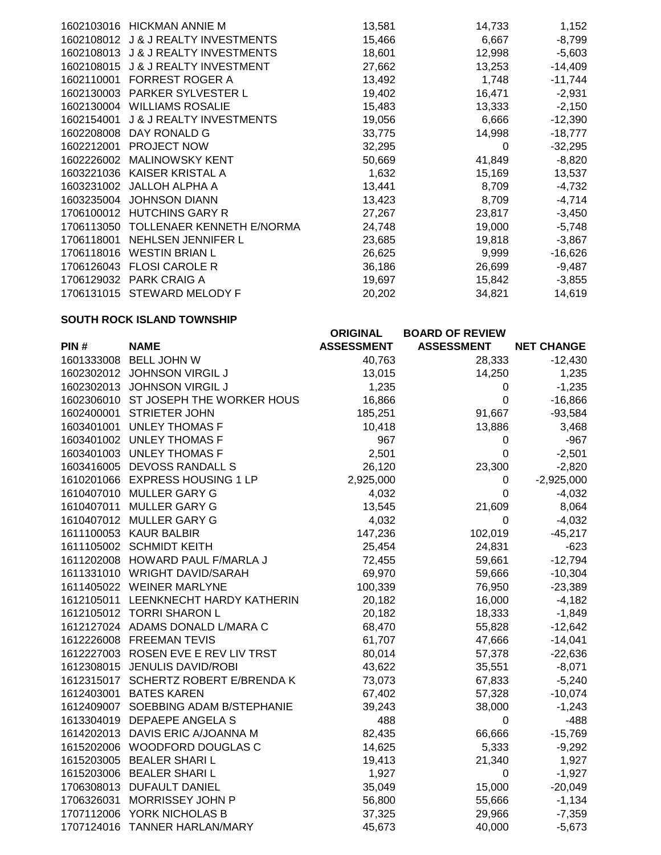| <b>HICKMAN ANNIE M</b>              | 13,581 | 14,733 | 1,152     |
|-------------------------------------|--------|--------|-----------|
| <b>J &amp; J REALTY INVESTMENTS</b> | 15,466 | 6,667  | $-8,799$  |
| <b>J &amp; J REALTY INVESTMENTS</b> | 18,601 | 12,998 | $-5,603$  |
| <b>J &amp; J REALTY INVESTMENT</b>  | 27,662 | 13,253 | $-14,409$ |
| <b>FORREST ROGER A</b>              | 13,492 | 1,748  | $-11,744$ |
| <b>PARKER SYLVESTER L</b>           | 19,402 | 16,471 | $-2,931$  |
| <b>WILLIAMS ROSALIE</b>             | 15,483 | 13,333 | $-2,150$  |
| <b>J &amp; J REALTY INVESTMENTS</b> | 19,056 | 6,666  | $-12,390$ |
| DAY RONALD G                        | 33,775 | 14,998 | $-18,777$ |
| <b>PROJECT NOW</b>                  | 32,295 | 0      | $-32,295$ |
| <b>MALINOWSKY KENT</b>              | 50,669 | 41,849 | $-8,820$  |
| KAISER KRISTAL A                    | 1,632  | 15,169 | 13,537    |
| <b>JALLOH ALPHA A</b>               | 13,441 | 8,709  | $-4,732$  |
| <b>JOHNSON DIANN</b>                | 13,423 | 8,709  | $-4,714$  |
| <b>HUTCHINS GARY R</b>              | 27,267 | 23,817 | $-3,450$  |
| TOLLENAER KENNETH E/NORMA           | 24,748 | 19,000 | $-5,748$  |
| <b>NEHLSEN JENNIFER L</b>           | 23,685 | 19,818 | $-3,867$  |
| <b>WESTIN BRIAN L</b>               | 26,625 | 9,999  | $-16,626$ |
| <b>FLOSI CAROLE R</b>               | 36,186 | 26,699 | $-9,487$  |
| <b>PARK CRAIG A</b>                 | 19,697 | 15,842 | $-3,855$  |
| <b>STEWARD MELODY F</b>             | 20,202 | 34,821 | 14,619    |
|                                     |        |        |           |

## **SOUTH ROCK ISLAND TOWNSHIP**

|            |                                      | <b>ORIGINAL</b>   | <b>BOARD OF REVIEW</b> |                   |
|------------|--------------------------------------|-------------------|------------------------|-------------------|
| PIN#       | <b>NAME</b>                          | <b>ASSESSMENT</b> | <b>ASSESSMENT</b>      | <b>NET CHANGE</b> |
|            | 1601333008 BELL JOHN W               | 40,763            | 28,333                 | $-12,430$         |
|            | 1602302012 JOHNSON VIRGIL J          | 13,015            | 14,250                 | 1,235             |
|            | 1602302013 JOHNSON VIRGIL J          | 1,235             | 0                      | $-1,235$          |
|            | 1602306010 ST JOSEPH THE WORKER HOUS | 16,866            | $\boldsymbol{0}$       | $-16,866$         |
| 1602400001 | <b>STRIETER JOHN</b>                 | 185,251           | 91,667                 | $-93,584$         |
|            | 1603401001 UNLEY THOMAS F            | 10,418            | 13,886                 | 3,468             |
|            | 1603401002 UNLEY THOMAS F            | 967               | 0                      | $-967$            |
|            | 1603401003 UNLEY THOMAS F            | 2,501             | $\mathbf 0$            | $-2,501$          |
|            | 1603416005 DEVOSS RANDALL S          | 26,120            | 23,300                 | $-2,820$          |
|            | 1610201066 EXPRESS HOUSING 1 LP      | 2,925,000         | $\mathbf 0$            | $-2,925,000$      |
|            | 1610407010 MULLER GARY G             | 4,032             | 0                      | $-4,032$          |
| 1610407011 | MULLER GARY G                        | 13,545            | 21,609                 | 8,064             |
|            | 1610407012 MULLER GARY G             | 4,032             | 0                      | $-4,032$          |
|            | 1611100053 KAUR BALBIR               | 147,236           | 102,019                | $-45,217$         |
|            | 1611105002 SCHMIDT KEITH             | 25,454            | 24,831                 | $-623$            |
|            | 1611202008 HOWARD PAUL F/MARLA J     | 72,455            | 59,661                 | $-12,794$         |
|            | 1611331010 WRIGHT DAVID/SARAH        | 69,970            | 59,666                 | $-10,304$         |
|            | 1611405022 WEINER MARLYNE            | 100,339           | 76,950                 | $-23,389$         |
|            | 1612105011 LEENKNECHT HARDY KATHERIN | 20,182            | 16,000                 | $-4,182$          |
|            | 1612105012 TORRI SHARON L            | 20,182            | 18,333                 | $-1,849$          |
|            | 1612127024 ADAMS DONALD L/MARA C     | 68,470            | 55,828                 | $-12,642$         |
|            | 1612226008 FREEMAN TEVIS             | 61,707            | 47,666                 | $-14,041$         |
|            | 1612227003 ROSEN EVE E REV LIV TRST  | 80,014            | 57,378                 | $-22,636$         |
|            | 1612308015 JENULIS DAVID/ROBI        | 43,622            | 35,551                 | $-8,071$          |
|            | 1612315017 SCHERTZ ROBERT E/BRENDA K | 73,073            | 67,833                 | $-5,240$          |
|            | 1612403001 BATES KAREN               | 67,402            | 57,328                 | $-10,074$         |
|            | 1612409007 SOEBBING ADAM B/STEPHANIE | 39,243            | 38,000                 | $-1,243$          |
|            | 1613304019 DEPAEPE ANGELA S          | 488               | $\pmb{0}$              | $-488$            |
|            | 1614202013 DAVIS ERIC A/JOANNA M     | 82,435            | 66,666                 | $-15,769$         |
|            | 1615202006 WOODFORD DOUGLAS C        | 14,625            | 5,333                  | $-9,292$          |
|            | 1615203005 BEALER SHARI L            | 19,413            | 21,340                 | 1,927             |
|            | 1615203006 BEALER SHARI L            | 1,927             | 0                      | $-1,927$          |
|            | 1706308013 DUFAULT DANIEL            | 35,049            | 15,000                 | $-20,049$         |
| 1706326031 | MORRISSEY JOHN P                     | 56,800            | 55,666                 | $-1,134$          |
|            | 1707112006 YORK NICHOLAS B           | 37,325            | 29,966                 | $-7,359$          |
|            | 1707124016 TANNER HARLAN/MARY        | 45,673            | 40,000                 | $-5,673$          |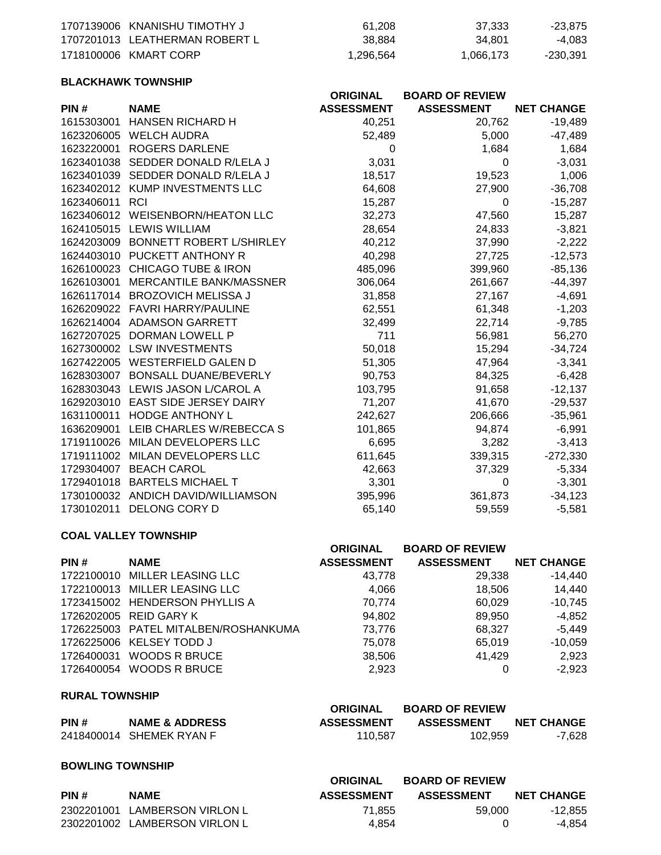| 1707139006 KNANISHU TIMOTHY J  | 61.208    | 37.333    | -23.875  |
|--------------------------------|-----------|-----------|----------|
| 1707201013 LEATHERMAN ROBERT L | 38.884    | 34.801    | -4.083   |
| 1718100006 KMART CORP          | 1,296,564 | 1,066,173 | -230,391 |

### **BLACKHAWK TOWNSHIP**

|            |                                    | <b>ORIGINAL</b>   | <b>BOARD OF REVIEW</b> |                   |
|------------|------------------------------------|-------------------|------------------------|-------------------|
| PIN#       | <b>NAME</b>                        | <b>ASSESSMENT</b> | <b>ASSESSMENT</b>      | <b>NET CHANGE</b> |
| 1615303001 | <b>HANSEN RICHARD H</b>            | 40,251            | 20,762                 | $-19,489$         |
| 1623206005 | <b>WELCH AUDRA</b>                 | 52,489            | 5,000                  | $-47,489$         |
| 1623220001 | <b>ROGERS DARLENE</b>              | 0                 | 1,684                  | 1,684             |
| 1623401038 | SEDDER DONALD R/LELA J             | 3,031             | $\Omega$               | $-3,031$          |
| 1623401039 | SEDDER DONALD R/LELA J             | 18,517            | 19,523                 | 1,006             |
|            | 1623402012 KUMP INVESTMENTS LLC    | 64,608            | 27,900                 | $-36,708$         |
| 1623406011 | <b>RCI</b>                         | 15,287            | 0                      | $-15,287$         |
|            | 1623406012 WEISENBORN/HEATON LLC   | 32,273            | 47,560                 | 15,287            |
|            | 1624105015 LEWIS WILLIAM           | 28,654            | 24,833                 | $-3,821$          |
| 1624203009 | <b>BONNETT ROBERT L/SHIRLEY</b>    | 40,212            | 37,990                 | $-2,222$          |
| 1624403010 | PUCKETT ANTHONY R                  | 40,298            | 27,725                 | $-12,573$         |
|            | 1626100023 CHICAGO TUBE & IRON     | 485,096           | 399,960                | $-85,136$         |
| 1626103001 | MERCANTILE BANK/MASSNER            | 306,064           | 261,667                | $-44,397$         |
| 1626117014 | <b>BROZOVICH MELISSA J</b>         | 31,858            | 27,167                 | $-4,691$          |
|            | 1626209022 FAVRI HARRY/PAULINE     | 62,551            | 61,348                 | $-1,203$          |
|            | 1626214004 ADAMSON GARRETT         | 32,499            | 22,714                 | $-9,785$          |
| 1627207025 | <b>DORMAN LOWELL P</b>             | 711               | 56,981                 | 56,270            |
|            | 1627300002 LSW INVESTMENTS         | 50,018            | 15,294                 | $-34,724$         |
|            | 1627422005 WESTERFIELD GALEN D     | 51,305            | 47,964                 | $-3,341$          |
| 1628303007 | <b>BONSALL DUANE/BEVERLY</b>       | 90,753            | 84,325                 | $-6,428$          |
| 1628303043 | LEWIS JASON L/CAROL A              | 103,795           | 91,658                 | $-12,137$         |
|            | 1629203010 EAST SIDE JERSEY DAIRY  | 71,207            | 41,670                 | $-29,537$         |
| 1631100011 | <b>HODGE ANTHONY L</b>             | 242,627           | 206,666                | $-35,961$         |
| 1636209001 | LEIB CHARLES W/REBECCA S           | 101,865           | 94,874                 | $-6,991$          |
|            | 1719110026 MILAN DEVELOPERS LLC    | 6,695             | 3,282                  | $-3,413$          |
| 1719111002 | MILAN DEVELOPERS LLC               | 611,645           | 339,315                | $-272,330$        |
| 1729304007 | <b>BEACH CAROL</b>                 | 42,663            | 37,329                 | $-5,334$          |
| 1729401018 | <b>BARTELS MICHAEL T</b>           | 3,301             | $\Omega$               | $-3,301$          |
|            | 1730100032 ANDICH DAVID/WILLIAMSON | 395,996           | 361,873                | $-34,123$         |
| 1730102011 | DELONG CORY D                      | 65,140            | 59,559                 | $-5,581$          |

## **COAL VALLEY TOWNSHIP**

|            |                                      | <b>ORIGINAL</b>   | <b>BOARD OF REVIEW</b> |                   |
|------------|--------------------------------------|-------------------|------------------------|-------------------|
| PIN#       | <b>NAME</b>                          | <b>ASSESSMENT</b> | <b>ASSESSMENT</b>      | <b>NET CHANGE</b> |
|            | 1722100010 MILLER LEASING LLC        | 43,778            | 29,338                 | $-14,440$         |
|            | 1722100013 MILLER LEASING LLC        | 4,066             | 18.506                 | 14,440            |
|            | 1723415002 HENDERSON PHYLLIS A       | 70.774            | 60,029                 | $-10,745$         |
|            | 1726202005 REID GARY K               | 94,802            | 89,950                 | $-4,852$          |
|            | 1726225003 PATEL MITALBEN/ROSHANKUMA | 73.776            | 68.327                 | $-5,449$          |
|            | 1726225006 KELSEY TODD J             | 75,078            | 65.019                 | $-10,059$         |
| 1726400031 | <b>WOODS R BRUCE</b>                 | 38,506            | 41,429                 | 2,923             |
|            | 1726400054 WOODS R BRUCE             | 2.923             |                        | $-2,923$          |

# **RURAL TOWNSHIP**

|      |                           | ORIGINAL          | <b>BOARD OF REVIEW</b> |                   |
|------|---------------------------|-------------------|------------------------|-------------------|
| PIN# | <b>NAME &amp; ADDRESS</b> | <b>ASSESSMENT</b> | <b>ASSESSMENT</b>      | <b>NET CHANGE</b> |
|      | 2418400014 SHEMEK RYAN F  | 110.587           | 102.959                | -7.628            |

#### **BOWLING TOWNSHIP**

|      |                               | <b>ORIGINAL</b>   | <b>BOARD OF REVIEW</b> |                   |
|------|-------------------------------|-------------------|------------------------|-------------------|
| PIN# | <b>NAME</b>                   | <b>ASSESSMENT</b> | <b>ASSESSMENT</b>      | <b>NET CHANGE</b> |
|      | 2302201001 LAMBERSON VIRLON L | 71.855            | 59.000                 | -12.855           |
|      | 2302201002 LAMBERSON VIRLON L | 4.854             |                        | -4.854            |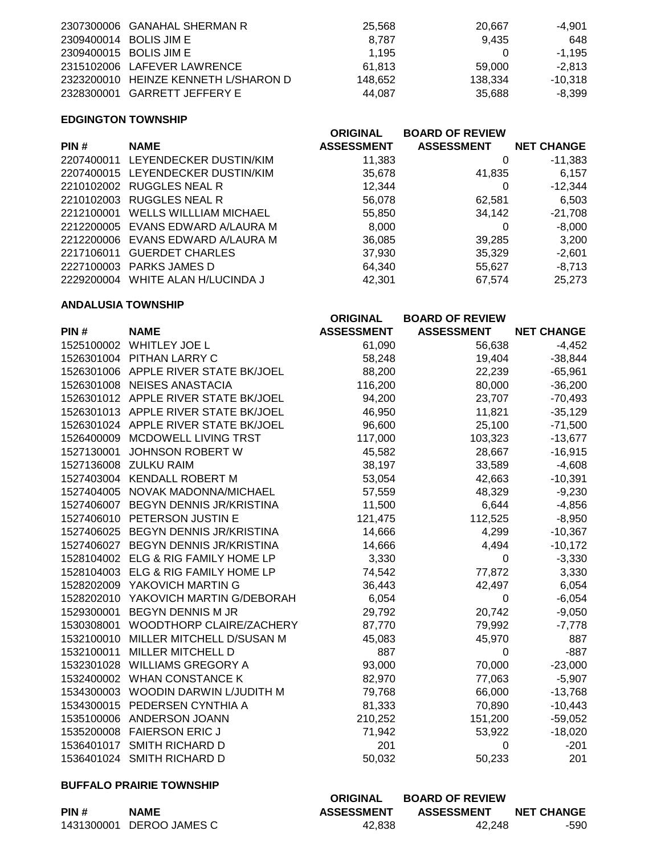| 2307300006 GANAHAL SHERMAN R         | 25.568  | 20.667  | -4.901   |
|--------------------------------------|---------|---------|----------|
| 2309400014 BOLIS JIM E               | 8.787   | 9.435   | 648      |
| 2309400015 BOLIS JIM E               | 1.195   |         | -1.195   |
| 2315102006 LAFEVER LAWRENCE          | 61.813  | 59.000  | $-2.813$ |
| 2323200010 HEINZE KENNETH L/SHARON D | 148.652 | 138.334 | -10.318  |
| 2328300001 GARRETT JEFFERY E         | 44.087  | 35.688  | -8.399   |

# **EDGINGTON TOWNSHIP**

|                               | <b>ORIGINAL</b>                                                                                                                                                                                                                             | <b>BOARD OF REVIEW</b> |                   |
|-------------------------------|---------------------------------------------------------------------------------------------------------------------------------------------------------------------------------------------------------------------------------------------|------------------------|-------------------|
| <b>NAME</b>                   | <b>ASSESSMENT</b>                                                                                                                                                                                                                           | <b>ASSESSMENT</b>      | <b>NET CHANGE</b> |
| LEYENDECKER DUSTIN/KIM        | 11,383                                                                                                                                                                                                                                      | O                      | $-11,383$         |
|                               | 35,678                                                                                                                                                                                                                                      | 41,835                 | 6,157             |
|                               | 12,344                                                                                                                                                                                                                                      | 0                      | $-12,344$         |
|                               | 56,078                                                                                                                                                                                                                                      | 62,581                 | 6,503             |
| <b>WELLS WILLLIAM MICHAEL</b> | 55,850                                                                                                                                                                                                                                      | 34,142                 | $-21,708$         |
|                               | 8,000                                                                                                                                                                                                                                       | $\Omega$               | $-8,000$          |
|                               | 36,085                                                                                                                                                                                                                                      | 39,285                 | 3,200             |
| <b>GUERDET CHARLES</b>        | 37,930                                                                                                                                                                                                                                      | 35,329                 | $-2,601$          |
|                               | 64,340                                                                                                                                                                                                                                      | 55,627                 | $-8,713$          |
| WHITE ALAN H/LUCINDA J        | 42,301                                                                                                                                                                                                                                      | 67,574                 | 25,273            |
|                               | 2207400011<br>2207400015 LEYENDECKER DUSTIN/KIM<br>2210102002 RUGGLES NEAL R<br>2210102003 RUGGLES NEAL R<br>2212100001<br>2212200005 EVANS EDWARD A/LAURA M<br>2212200006 EVANS EDWARD A/LAURA M<br>2227100003 PARKS JAMES D<br>2229200004 |                        |                   |

## **ANDALUSIA TOWNSHIP**

|            |                                      | <b>ORIGINAL</b>   | <b>BOARD OF REVIEW</b> |                   |
|------------|--------------------------------------|-------------------|------------------------|-------------------|
| PIN#       | <b>NAME</b>                          | <b>ASSESSMENT</b> | <b>ASSESSMENT</b>      | <b>NET CHANGE</b> |
| 1525100002 | <b>WHITLEY JOE L</b>                 | 61,090            | 56,638                 | $-4,452$          |
|            | 1526301004 PITHAN LARRY C            | 58,248            | 19,404                 | $-38,844$         |
|            | 1526301006 APPLE RIVER STATE BK/JOEL | 88,200            | 22,239                 | $-65,961$         |
|            | 1526301008 NEISES ANASTACIA          | 116,200           | 80,000                 | $-36,200$         |
|            | 1526301012 APPLE RIVER STATE BK/JOEL | 94,200            | 23,707                 | $-70,493$         |
|            | 1526301013 APPLE RIVER STATE BK/JOEL | 46,950            | 11,821                 | $-35,129$         |
|            | 1526301024 APPLE RIVER STATE BK/JOEL | 96,600            | 25,100                 | $-71,500$         |
| 1526400009 | MCDOWELL LIVING TRST                 | 117,000           | 103,323                | $-13,677$         |
| 1527130001 | <b>JOHNSON ROBERT W</b>              | 45,582            | 28,667                 | $-16,915$         |
|            | 1527136008 ZULKU RAIM                | 38,197            | 33,589                 | $-4,608$          |
|            | 1527403004 KENDALL ROBERT M          | 53,054            | 42,663                 | $-10,391$         |
| 1527404005 | NOVAK MADONNA/MICHAEL                | 57,559            | 48,329                 | $-9,230$          |
|            | 1527406007 BEGYN DENNIS JR/KRISTINA  | 11,500            | 6,644                  | $-4,856$          |
|            | 1527406010 PETERSON JUSTIN E         | 121,475           | 112,525                | $-8,950$          |
| 1527406025 | <b>BEGYN DENNIS JR/KRISTINA</b>      | 14,666            | 4,299                  | $-10,367$         |
| 1527406027 | BEGYN DENNIS JR/KRISTINA             | 14,666            | 4,494                  | $-10,172$         |
|            | 1528104002 ELG & RIG FAMILY HOME LP  | 3,330             | 0                      | $-3,330$          |
|            | 1528104003 ELG & RIG FAMILY HOME LP  | 74,542            | 77,872                 | 3,330             |
|            | 1528202009 YAKOVICH MARTIN G         | 36,443            | 42,497                 | 6,054             |
| 1528202010 | YAKOVICH MARTIN G/DEBORAH            | 6,054             | 0                      | $-6,054$          |
| 1529300001 | <b>BEGYN DENNIS M JR</b>             | 29,792            | 20,742                 | $-9,050$          |
| 1530308001 | WOODTHORP CLAIRE/ZACHERY             | 87,770            | 79,992                 | $-7,778$          |
| 1532100010 | MILLER MITCHELL D/SUSAN M            | 45,083            | 45,970                 | 887               |
| 1532100011 | MILLER MITCHELL D                    | 887               | 0                      | $-887$            |
| 1532301028 | <b>WILLIAMS GREGORY A</b>            | 93,000            | 70,000                 | $-23,000$         |
| 1532400002 | <b>WHAN CONSTANCE K</b>              | 82,970            | 77,063                 | $-5,907$          |
|            | 1534300003 WOODIN DARWIN L/JUDITH M  | 79,768            | 66,000                 | $-13,768$         |
|            | 1534300015 PEDERSEN CYNTHIA A        | 81,333            | 70,890                 | $-10,443$         |
| 1535100006 | ANDERSON JOANN                       | 210,252           | 151,200                | $-59,052$         |
| 1535200008 | <b>FAIERSON ERIC J</b>               | 71,942            | 53,922                 | $-18,020$         |
| 1536401017 | SMITH RICHARD D                      | 201               | 0                      | $-201$            |
|            | 1536401024 SMITH RICHARD D           | 50,032            | 50,233                 | 201               |

## **BUFFALO PRAIRIE TOWNSHIP**

|      |                          | ORIGINAL          | <b>BOARD OF REVIEW</b> |                   |
|------|--------------------------|-------------------|------------------------|-------------------|
| PIN# | <b>NAME</b>              | <b>ASSESSMENT</b> | <b>ASSESSMENT</b>      | <b>NET CHANGE</b> |
|      | 1431300001 DEROO JAMES C | 42.838            | 42.248                 | -590              |